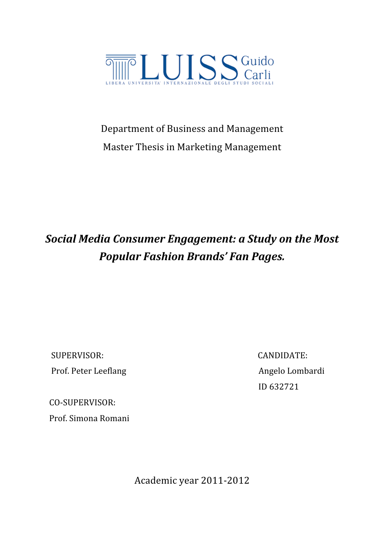

# Department
of
Business
and
Management Master
Thesis
in
Marketing
Management

# *Social
Media
Consumer
Engagement:
a
Study
on
the
Most Popular
Fashion
Brands'
Fan
Pages.*

SUPERVISOR:

CANDIDATE: Prof. Peter Leeflang and a manual angelo Lombardi

ID
632721

CO‐SUPERVISOR: Prof.
Simona
Romani

Academic
year
2011‐2012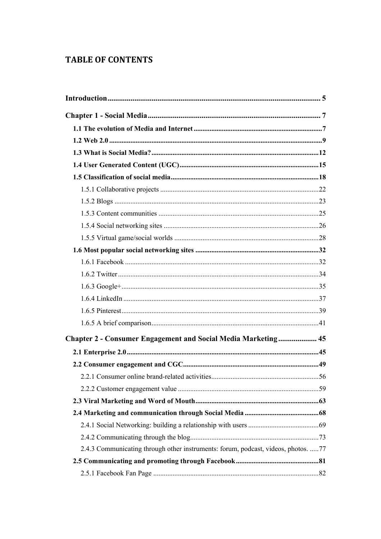# **TABLE OF CONTENTS**

| Chapter 2 - Consumer Engagement and Social Media Marketing 45                     |  |
|-----------------------------------------------------------------------------------|--|
|                                                                                   |  |
|                                                                                   |  |
|                                                                                   |  |
|                                                                                   |  |
|                                                                                   |  |
|                                                                                   |  |
|                                                                                   |  |
|                                                                                   |  |
| 2.4.3 Communicating through other instruments: forum, podcast, videos, photos. 77 |  |
|                                                                                   |  |
|                                                                                   |  |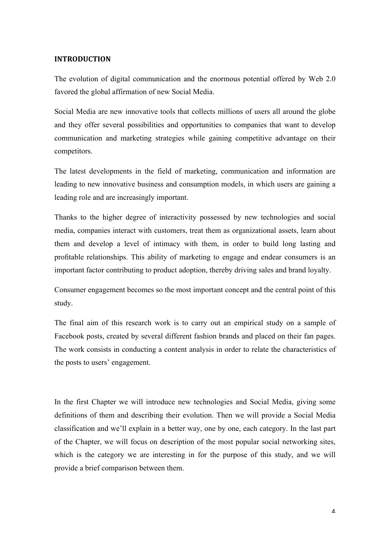### **INTRODUCTION**

The evolution of digital communication and the enormous potential offered by Web 2.0 favored the global affirmation of new Social Media.

Social Media are new innovative tools that collects millions of users all around the globe and they offer several possibilities and opportunities to companies that want to develop communication and marketing strategies while gaining competitive advantage on their competitors.

The latest developments in the field of marketing, communication and information are leading to new innovative business and consumption models, in which users are gaining a leading role and are increasingly important.

Thanks to the higher degree of interactivity possessed by new technologies and social media, companies interact with customers, treat them as organizational assets, learn about them and develop a level of intimacy with them, in order to build long lasting and profitable relationships. This ability of marketing to engage and endear consumers is an important factor contributing to product adoption, thereby driving sales and brand loyalty.

Consumer engagement becomes so the most important concept and the central point of this study.

The final aim of this research work is to carry out an empirical study on a sample of Facebook posts, created by several different fashion brands and placed on their fan pages. The work consists in conducting a content analysis in order to relate the characteristics of the posts to users' engagement.

In the first Chapter we will introduce new technologies and Social Media, giving some definitions of them and describing their evolution. Then we will provide a Social Media classification and we'll explain in a better way, one by one, each category. In the last part of the Chapter, we will focus on description of the most popular social networking sites, which is the category we are interesting in for the purpose of this study, and we will provide a brief comparison between them.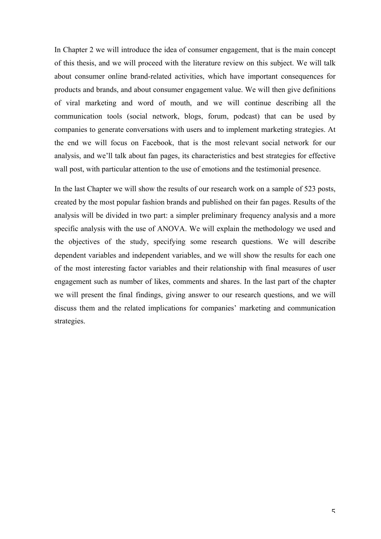In Chapter 2 we will introduce the idea of consumer engagement, that is the main concept of this thesis, and we will proceed with the literature review on this subject. We will talk about consumer online brand-related activities, which have important consequences for products and brands, and about consumer engagement value. We will then give definitions of viral marketing and word of mouth, and we will continue describing all the communication tools (social network, blogs, forum, podcast) that can be used by companies to generate conversations with users and to implement marketing strategies. At the end we will focus on Facebook, that is the most relevant social network for our analysis, and we'll talk about fan pages, its characteristics and best strategies for effective wall post, with particular attention to the use of emotions and the testimonial presence.

In the last Chapter we will show the results of our research work on a sample of 523 posts, created by the most popular fashion brands and published on their fan pages. Results of the analysis will be divided in two part: a simpler preliminary frequency analysis and a more specific analysis with the use of ANOVA. We will explain the methodology we used and the objectives of the study, specifying some research questions. We will describe dependent variables and independent variables, and we will show the results for each one of the most interesting factor variables and their relationship with final measures of user engagement such as number of likes, comments and shares. In the last part of the chapter we will present the final findings, giving answer to our research questions, and we will discuss them and the related implications for companies' marketing and communication strategies.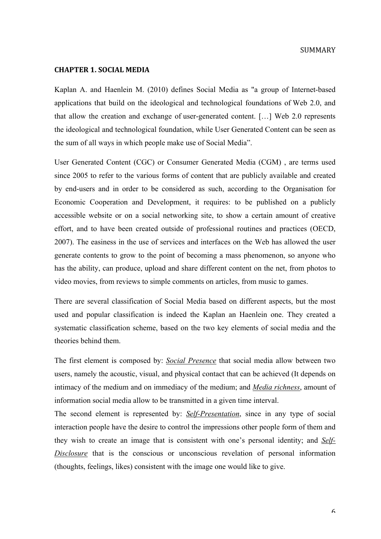#### SUMMARY

#### **CHAPTER 1.
SOCIAL
MEDIA**

Kaplan A. and Haenlein M. (2010) defines Social Media as "a group of Internet-based applications that build on the ideological and technological foundations of Web 2.0, and that allow the creation and exchange of user-generated content. […] Web 2.0 represents the ideological and technological foundation, while User Generated Content can be seen as the sum of all ways in which people make use of Social Media".

User Generated Content (CGC) or Consumer Generated Media (CGM) , are terms used since 2005 to refer to the various forms of content that are publicly available and created by end-users and in order to be considered as such, according to the Organisation for Economic Cooperation and Development, it requires: to be published on a publicly accessible website or on a social networking site, to show a certain amount of creative effort, and to have been created outside of professional routines and practices (OECD, 2007). The easiness in the use of services and interfaces on the Web has allowed the user generate contents to grow to the point of becoming a mass phenomenon, so anyone who has the ability, can produce, upload and share different content on the net, from photos to video movies, from reviews to simple comments on articles, from music to games.

There are several classification of Social Media based on different aspects, but the most used and popular classification is indeed the Kaplan an Haenlein one. They created a systematic classification scheme, based on the two key elements of social media and the theories behind them.

The first element is composed by: *Social Presence* that social media allow between two users, namely the acoustic, visual, and physical contact that can be achieved (It depends on intimacy of the medium and on immediacy of the medium; and *Media richness*, amount of information social media allow to be transmitted in a given time interval.

The second element is represented by: *Self-Presentation*, since in any type of social interaction people have the desire to control the impressions other people form of them and they wish to create an image that is consistent with one's personal identity; and *Self-Disclosure* that is the conscious or unconscious revelation of personal information (thoughts, feelings, likes) consistent with the image one would like to give.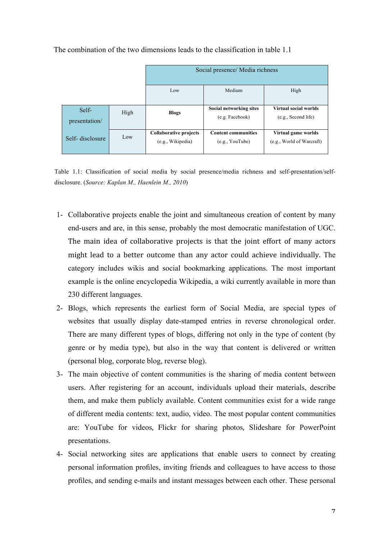|                        |      | Social presence/ Media richness                    |                                               |                                                  |
|------------------------|------|----------------------------------------------------|-----------------------------------------------|--------------------------------------------------|
|                        |      | Low                                                | Medium                                        | High                                             |
| Self-<br>presentation/ | High | <b>Blogs</b>                                       | Social networking sites<br>(e.g. Facebook)    | Virtual social worlds<br>(e.g., Second life)     |
| Self-disclosure        | Low  | <b>Collaborative projects</b><br>(e.g., Wikipedia) | <b>Content communities</b><br>(e.g., YouTube) | Virtual game worlds<br>(e.g., World of Warcraft) |

The combination of the two dimensions leads to the classification in table 1.1

Table 1.1: Classification of social media by social presence/media richness and self-presentation/selfdisclosure. (*Source: Kaplan M., Haenlein M., 2010*)

- 1- Collaborative projects enable the joint and simultaneous creation of content by many end-users and are, in this sense, probably the most democratic manifestation of UGC. The main idea of collaborative projects is that the joint effort of many actors might lead to a better outcome than any actor could achieve individually. The category includes wikis and social bookmarking applications. The most important example is the online encyclopedia Wikipedia, a wiki currently available in more than 230 different languages.
- 2- Blogs, which represents the earliest form of Social Media, are special types of websites that usually display date-stamped entries in reverse chronological order. There are many different types of blogs, differing not only in the type of content (by genre or by media type), but also in the way that content is delivered or written (personal blog, corporate blog, reverse blog).
- 3- The main objective of content communities is the sharing of media content between users. After registering for an account, individuals upload their materials, describe them, and make them publicly available. Content communities exist for a wide range of different media contents: text, audio, video. The most popular content communities are: YouTube for videos, Flickr for sharing photos, Slideshare for PowerPoint presentations.
- 4- Social networking sites are applications that enable users to connect by creating personal information profiles, inviting friends and colleagues to have access to those profiles, and sending e-mails and instant messages between each other. These personal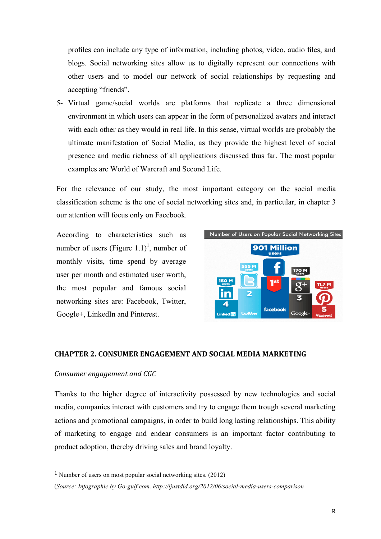profiles can include any type of information, including photos, video, audio files, and blogs. Social networking sites allow us to digitally represent our connections with other users and to model our network of social relationships by requesting and accepting "friends".

5- Virtual game/social worlds are platforms that replicate a three dimensional environment in which users can appear in the form of personalized avatars and interact with each other as they would in real life. In this sense, virtual worlds are probably the ultimate manifestation of Social Media, as they provide the highest level of social presence and media richness of all applications discussed thus far. The most popular examples are World of Warcraft and Second Life.

For the relevance of our study, the most important category on the social media classification scheme is the one of social networking sites and, in particular, in chapter 3 our attention will focus only on Facebook.

According to characteristics such as number of users (Figure  $1.1$ )<sup>1</sup>, number of monthly visits, time spend by average user per month and estimated user worth, the most popular and famous social networking sites are: Facebook, Twitter, Google+, LinkedIn and Pinterest.



#### **CHAPTER
2.
CONSUMER
ENGAGEMENT
AND
SOCIAL
MEDIA
MARKETING**

#### *Consumer
engagement
and
CGC*

Thanks to the higher degree of interactivity possessed by new technologies and social media, companies interact with customers and try to engage them trough several marketing actions and promotional campaigns, in order to build long lasting relationships. This ability of marketing to engage and endear consumers is an important factor contributing to product adoption, thereby driving sales and brand loyalty.

<sup>1</sup> Number of users on most popular social networking sites. (2012)

<sup>(</sup>*Source: Infographic by Go-gulf.com. http://ijustdid.org/2012/06/social-media-users-comparison*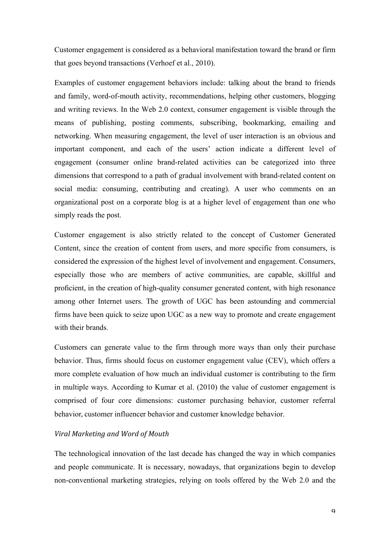Customer engagement is considered as a behavioral manifestation toward the brand or firm that goes beyond transactions (Verhoef et al., 2010).

Examples of customer engagement behaviors include: talking about the brand to friends and family, word-of-mouth activity, recommendations, helping other customers, blogging and writing reviews. In the Web 2.0 context, consumer engagement is visible through the means of publishing, posting comments, subscribing, bookmarking, emailing and networking. When measuring engagement, the level of user interaction is an obvious and important component, and each of the users' action indicate a different level of engagement (consumer online brand-related activities can be categorized into three dimensions that correspond to a path of gradual involvement with brand-related content on social media: consuming, contributing and creating). A user who comments on an organizational post on a corporate blog is at a higher level of engagement than one who simply reads the post.

Customer engagement is also strictly related to the concept of Customer Generated Content, since the creation of content from users, and more specific from consumers, is considered the expression of the highest level of involvement and engagement. Consumers, especially those who are members of active communities, are capable, skillful and proficient, in the creation of high-quality consumer generated content, with high resonance among other Internet users. The growth of UGC has been astounding and commercial firms have been quick to seize upon UGC as a new way to promote and create engagement with their brands.

Customers can generate value to the firm through more ways than only their purchase behavior. Thus, firms should focus on customer engagement value (CEV), which offers a more complete evaluation of how much an individual customer is contributing to the firm in multiple ways. According to Kumar et al. (2010) the value of customer engagement is comprised of four core dimensions: customer purchasing behavior, customer referral behavior, customer influencer behaviorand
customer knowledge behavior.

### *Viral
Marketing
and
Word
of
Mouth*

The technological innovation of the last decade has changed the way in which companies and people communicate. It is necessary, nowadays, that organizations begin to develop non-conventional marketing strategies, relying on tools offered by the Web 2.0 and the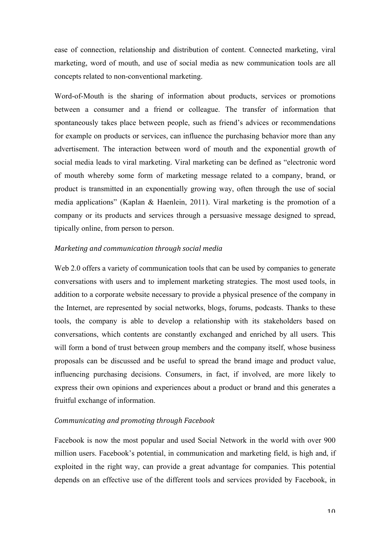ease of connection, relationship and distribution of content. Connected marketing, viral marketing, word of mouth, and use of social media as new communication tools are all concepts related to non-conventional marketing.

Word-of-Mouth is the sharing of information about products, services or promotions between a consumer and a friend or colleague. The transfer of information that spontaneously takes place between people, such as friend's advices or recommendations for example on products or services, can influence the purchasing behavior more than any advertisement. The interaction between word of mouth and the exponential growth of social media leads to viral marketing. Viral marketing can be defined as "electronic word of mouth whereby some form of marketing message related to a company, brand, or product is transmitted in an exponentially growing way, often through the use of social media applications" (Kaplan & Haenlein, 2011). Viral marketing is the promotion of a company or its products and services through a persuasive message designed to spread, tipically online, from person to person.

### *Marketing
and
communication
through
social
media*

Web 2.0 offers a variety of communication tools that can be used by companies to generate conversations with users and to implement marketing strategies. The most used tools, in addition to a corporate website necessary to provide a physical presence of the company in the Internet, are represented by social networks, blogs, forums, podcasts. Thanks to these tools, the company is able to develop a relationship with its stakeholders based on conversations, which contents are constantly exchanged and enriched by all users. This will form a bond of trust between group members and the company itself, whose business proposals can be discussed and be useful to spread the brand image and product value, influencing purchasing decisions. Consumers, in fact, if involved, are more likely to express their own opinions and experiences about a product or brand and this generates a fruitful exchange of information.

#### *Communicating
and
promoting
through
Facebook*

Facebook is now the most popular and used Social Network in the world with over 900 million users. Facebook's potential, in communication and marketing field, is high and, if exploited in the right way, can provide a great advantage for companies. This potential depends on an effective use of the different tools and services provided by Facebook, in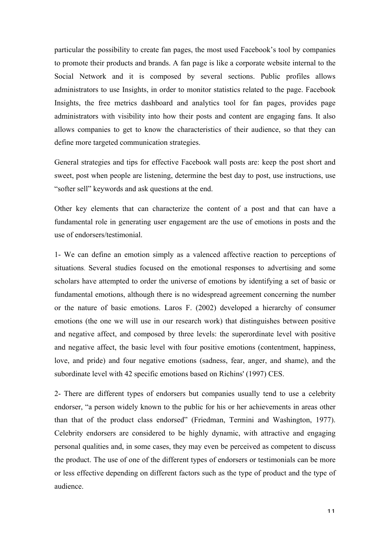particular the possibility to create fan pages, the most used Facebook's tool by companies to promote their products and brands. A fan page is like a corporate website internal to the Social Network and it is composed by several sections. Public profiles allows administrators to use Insights, in order to monitor statistics related to the page. Facebook Insights, the free metrics dashboard and analytics tool for fan pages, provides page administrators with visibility into how their posts and content are engaging fans. It also allows companies to get to know the characteristics of their audience, so that they can define more targeted communication strategies.

General strategies and tips for effective Facebook wall posts are: keep the post short and sweet, post when people are listening, determine the best day to post, use instructions, use "softer sell" keywords and ask questions at the end.

Other key elements that can characterize the content of a post and that can have a fundamental role in generating user engagement are the use of emotions in posts and the use of endorsers/testimonial.

1- We can define an emotion simply as a valenced affective reaction to perceptions of situations. Several studies focused on the emotional responses to advertising and some scholars have attempted to order the universe of emotions by identifying a set of basic or fundamental emotions, although there is no widespread agreement concerning the number or the nature of basic emotions. Laros F. (2002) developed a hierarchy of consumer emotions (the one we will use in our research work) that distinguishes between positive and negative affect, and composed by three levels: the superordinate level with positive and negative affect, the basic level with four positive emotions (contentment, happiness, love, and pride) and four negative emotions (sadness, fear, anger, and shame), and the subordinate level with 42 specific emotions based on Richins' (1997) CES.

2- There are different types of endorsers but companies usually tend to use a celebrity endorser, "a person widely known to the public for his or her achievements in areas other than that of the product class endorsed" (Friedman, Termini and Washington, 1977). Celebrity endorsers are considered to be highly dynamic, with attractive and engaging personal qualities and, in some cases, they may even be perceived as competent to discuss the product. The use of one of the different types of endorsers or testimonials can be more or less effective depending on different factors such as the type of product and the type of audience.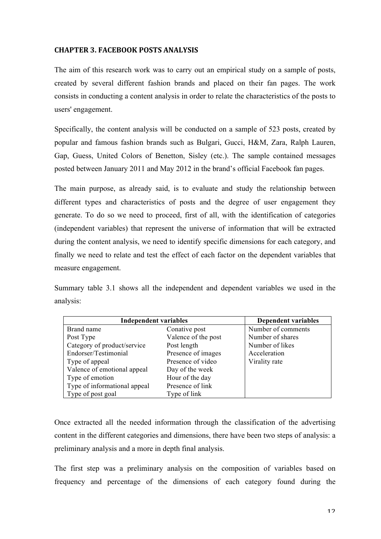# **CHAPTER
3.
FACEBOOK
POSTS
ANALYSIS**

The aim of this research work was to carry out an empirical study on a sample of posts, created by several different fashion brands and placed on their fan pages. The work consists in conducting a content analysis in order to relate the characteristics of the posts to users' engagement.

Specifically, the content analysis will be conducted on a sample of 523 posts, created by popular and famous fashion brands such as Bulgari, Gucci, H&M, Zara, Ralph Lauren, Gap, Guess, United Colors of Benetton, Sisley (etc.). The sample contained messages posted between January 2011 and May 2012 in the brand's official Facebook fan pages.

The main purpose, as already said, is to evaluate and study the relationship between different types and characteristics of posts and the degree of user engagement they generate. To do so we need to proceed, first of all, with the identification of categories (independent variables) that represent the universe of information that will be extracted during the content analysis, we need to identify specific dimensions for each category, and finally we need to relate and test the effect of each factor on the dependent variables that measure engagement.

Summary table 3.1 shows all the independent and dependent variables we used in the analysis:

| <b>Independent variables</b> | <b>Dependent variables</b> |                    |
|------------------------------|----------------------------|--------------------|
| Brand name                   | Conative post              | Number of comments |
| Post Type                    | Valence of the post        | Number of shares   |
| Category of product/service  | Post length                | Number of likes    |
| Endorser/Testimonial         | Presence of images         | Acceleration       |
| Type of appeal               | Presence of video          | Virality rate      |
| Valence of emotional appeal  | Day of the week            |                    |
| Type of emotion              | Hour of the day            |                    |
| Type of informational appeal | Presence of link           |                    |
| Type of post goal            | Type of link               |                    |

Once extracted all the needed information through the classification of the advertising content in the different categories and dimensions, there have been two steps of analysis: a preliminary analysis and a more in depth final analysis.

The first step was a preliminary analysis on the composition of variables based on frequency and percentage of the dimensions of each category found during the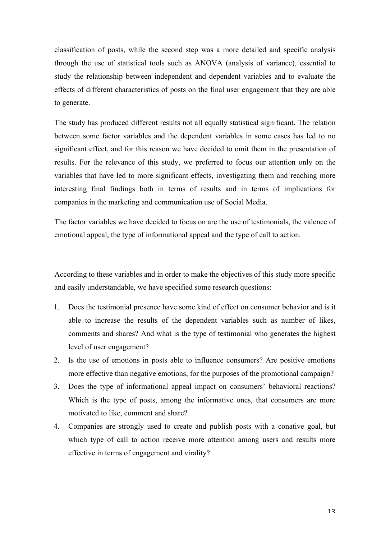classification of posts, while the second step was a more detailed and specific analysis through the use of statistical tools such as ANOVA (analysis of variance), essential to study the relationship between independent and dependent variables and to evaluate the effects of different characteristics of posts on the final user engagement that they are able to generate.

The study has produced different results not all equally statistical significant. The relation between some factor variables and the dependent variables in some cases has led to no significant effect, and for this reason we have decided to omit them in the presentation of results. For the relevance of this study, we preferred to focus our attention only on the variables that have led to more significant effects, investigating them and reaching more interesting final findings both in terms of results and in terms of implications for companies in the marketing and communication use of Social Media.

The factor variables we have decided to focus on are the use of testimonials, the valence of emotional appeal, the type of informational appeal and the type of call to action.

According to these variables and in order to make the objectives of this study more specific and easily understandable, we have specified some research questions:

- 1. Does the testimonial presence have some kind of effect on consumer behavior and is it able to increase the results of the dependent variables such as number of likes, comments and shares? And what is the type of testimonial who generates the highest level of user engagement?
- 2. Is the use of emotions in posts able to influence consumers? Are positive emotions more effective than negative emotions, for the purposes of the promotional campaign?
- 3. Does the type of informational appeal impact on consumers' behavioral reactions? Which is the type of posts, among the informative ones, that consumers are more motivated to like, comment and share?
- 4. Companies are strongly used to create and publish posts with a conative goal, but which type of call to action receive more attention among users and results more effective in terms of engagement and virality?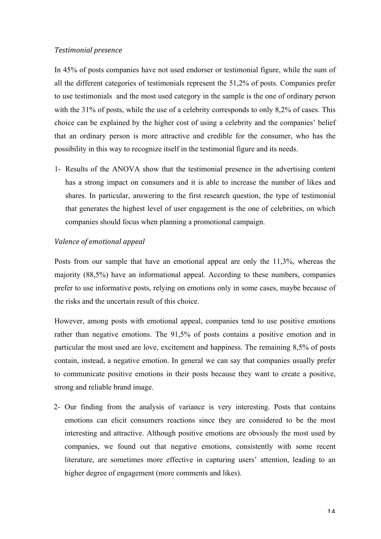### *Testimonial
presence*

In 45% of posts companies have not used endorser or testimonial figure, while the sum of all the different categories of testimonials represent the 51,2% of posts. Companies prefer to use testimonials and the most used category in the sample is the one of ordinary person with the 31% of posts, while the use of a celebrity corresponds to only 8,2% of cases. This choice can be explained by the higher cost of using a celebrity and the companies' belief that an ordinary person is more attractive and credible for the consumer, who has the possibility in this way to recognize itself in the testimonial figure and its needs.

1- Results of the ANOVA show that the testimonial presence in the advertising content has a strong impact on consumers and it is able to increase the number of likes and shares. In particular, answering to the first research question, the type of testimonial that generates the highest level of user engagement is the one of celebrities, on which companies should focus when planning a promotional campaign.

# *Valence
of
emotional
appeal*

Posts from our sample that have an emotional appeal are only the 11,3%, whereas the majority (88,5%) have an informational appeal. According to these numbers, companies prefer to use informative posts, relying on emotions only in some cases, maybe because of the risks and the uncertain result of this choice.

However, among posts with emotional appeal, companies tend to use positive emotions rather than negative emotions. The 91,5% of posts contains a positive emotion and in particular the most used are love, excitement and happiness. The remaining 8,5% of posts contain, instead, a negative emotion. In general we can say that companies usually prefer to communicate positive emotions in their posts because they want to create a positive, strong and reliable brand image.

2- Our finding from the analysis of variance is very interesting. Posts that contains emotions can elicit consumers reactions since they are considered to be the most interesting and attractive. Although positive emotions are obviously the most used by companies, we found out that negative emotions, consistently with some recent literature, are sometimes more effective in capturing users' attention, leading to an higher degree of engagement (more comments and likes).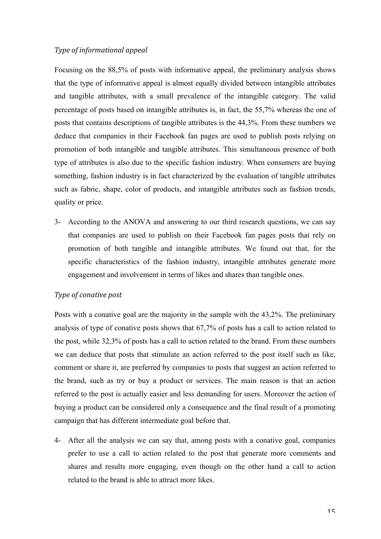### *Type
of
informational
appeal*

Focusing on the 88,5% of posts with informative appeal, the preliminary analysis shows that the type of informative appeal is almost equally divided between intangible attributes and tangible attributes, with a small prevalence of the intangible category. The valid percentage of posts based on intangible attributes is, in fact, the 55,7% whereas the one of posts that contains descriptions of tangible attributes is the 44,3%. From these numbers we deduce that companies in their Facebook fan pages are used to publish posts relying on promotion of both intangible and tangible attributes. This simultaneous presence of both type of attributes is also due to the specific fashion industry. When consumers are buying something, fashion industry is in fact characterized by the evaluation of tangible attributes such as fabric, shape, color of products, and intangible attributes such as fashion trends, quality or price.

3- According to the ANOVA and answering to our third research questions, we can say that companies are used to publish on their Facebook fan pages posts that rely on promotion of both tangible and intangible attributes. We found out that, for the specific characteristics of the fashion industry, intangible attributes generate more engagement and involvement in terms of likes and shares than tangible ones.

#### *Type
of
conative
post*

Posts with a conative goal are the majority in the sample with the 43,2%. The preliminary analysis of type of conative posts shows that 67,7% of posts has a call to action related to the post, while 32,3% of posts has a call to action related to the brand. From these numbers we can deduce that posts that stimulate an action referred to the post itself such as like, comment or share it, are preferred by companies to posts that suggest an action referred to the brand, such as try or buy a product or services. The main reason is that an action referred to the post is actually easier and less demanding for users. Moreover the action of buying a product can be considered only a consequence and the final result of a promoting campaign that has different intermediate goal before that.

4- After all the analysis we can say that, among posts with a conative goal, companies prefer to use a call to action related to the post that generate more comments and shares and results more engaging, even though on the other hand a call to action related to the brand is able to attract more likes.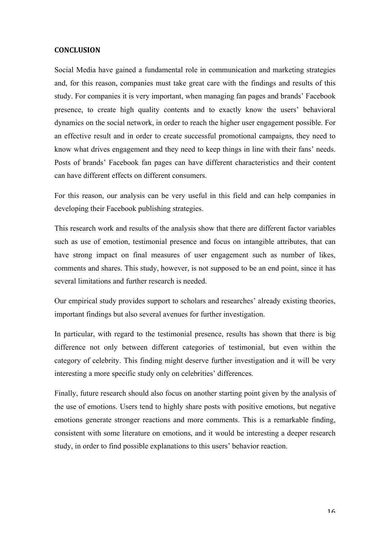#### **CONCLUSION**

Social Media have gained a fundamental role in communication and marketing strategies and, for this reason, companies must take great care with the findings and results of this study. For companies it is very important, when managing fan pages and brands' Facebook presence, to create high quality contents and to exactly know the users' behavioral dynamics on the social network, in order to reach the higher user engagement possible. For an effective result and in order to create successful promotional campaigns, they need to know what drives engagement and they need to keep things in line with their fans' needs. Posts of brands' Facebook fan pages can have different characteristics and their content can have different effects on different consumers.

For this reason, our analysis can be very useful in this field and can help companies in developing their Facebook publishing strategies.

This research work and results of the analysis show that there are different factor variables such as use of emotion, testimonial presence and focus on intangible attributes, that can have strong impact on final measures of user engagement such as number of likes, comments and shares. This study, however, is not supposed to be an end point, since it has several limitations and further research is needed.

Our empirical study provides support to scholars and researches' already existing theories, important findings but also several avenues for further investigation.

In particular, with regard to the testimonial presence, results has shown that there is big difference not only between different categories of testimonial, but even within the category of celebrity. This finding might deserve further investigation and it will be very interesting a more specific study only on celebrities' differences.

Finally, future research should also focus on another starting point given by the analysis of the use of emotions. Users tend to highly share posts with positive emotions, but negative emotions generate stronger reactions and more comments. This is a remarkable finding, consistent with some literature on emotions, and it would be interesting a deeper research study, in order to find possible explanations to this users' behavior reaction.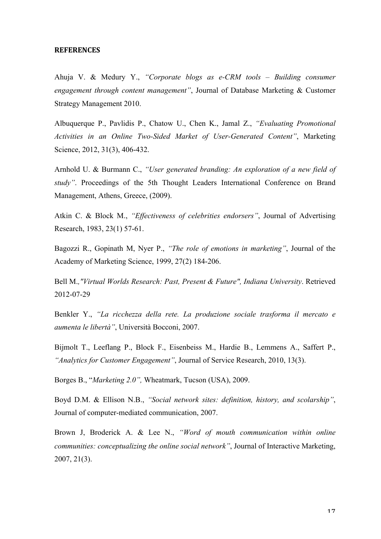#### **REFERENCES**

Ahuja V. & Medury Y., *"Corporate blogs as e-CRM tools – Building consumer engagement through content management"*, Journal of Database Marketing & Customer Strategy Management 2010.

Albuquerque P., Pavlidis P., Chatow U., Chen K., Jamal Z., *"Evaluating Promotional Activities in an Online Two-Sided Market of User-Generated Content"*, Marketing Science, 2012, 31(3), 406-432.

Arnhold U. & Burmann C., *"User generated branding: An exploration of a new field of study"*. Proceedings of the 5th Thought Leaders International Conference on Brand Management, Athens, Greece, (2009).

Atkin C. & Block M., *"Effectiveness of celebrities endorsers"*, Journal of Advertising Research, 1983, 23(1) 57-61.

Bagozzi R., Gopinath M, Nyer P., *"The role of emotions in marketing"*, Journal of the Academy of Marketing Science, 1999, 27(2) 184-206.

Bell M.*,"Virtual Worlds Research: Past, Present & Future", Indiana University*. Retrieved 2012-07-29

Benkler Y., *"La ricchezza della rete. La produzione sociale trasforma il mercato e aumenta le libertà"*, Università Bocconi, 2007.

Bijmolt T., Leeflang P., Block F., Eisenbeiss M., Hardie B., Lemmens A., Saffert P., *"Analytics for Customer Engagement"*, Journal of Service Research, 2010, 13(3).

Borges B., "*Marketing 2.0",* Wheatmark, Tucson (USA), 2009.

Boyd D.M. & Ellison N.B., *"Social network sites: definition, history, and scolarship"*, Journal of computer-mediated communication, 2007.

Brown J, Broderick A. & Lee N., *"Word of mouth communication within online communities: conceptualizing the online social network"*, Journal of Interactive Marketing, 2007, 21(3).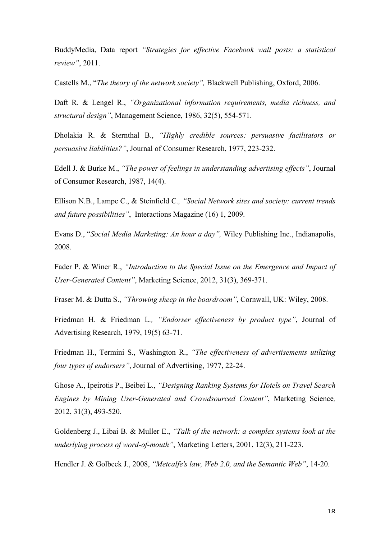BuddyMedia, Data report *"Strategies for effective Facebook wall posts: a statistical review"*, 2011.

Castells M., "*The theory of the network society",* Blackwell Publishing, Oxford, 2006.

Daft R. & Lengel R., *"Organizational information requirements, media richness, and structural design"*, Management Science, 1986, 32(5), 554-571.

Dholakia R. & Sternthal B., *"Highly credible sources: persuasive facilitators or persuasive liabilities?"*, Journal of Consumer Research, 1977, 223-232.

Edell J. & Burke M., *"The power of feelings in understanding advertising effects"*, Journal of Consumer Research, 1987, 14(4).

Ellison N.B., Lampe C., & Steinfield C*., "Social Network sites and society: current trends and future possibilities"*, Interactions Magazine (16) 1, 2009.

Evans D., "*Social Media Marketing: An hour a day",* Wiley Publishing Inc., Indianapolis, 2008.

Fader P. & Winer R., *"Introduction to the Special Issue on the Emergence and Impact of User-Generated Content"*, Marketing Science, 2012, 31(3), 369-371.

Fraser M. & Dutta S., *"Throwing sheep in the boardroom"*, Cornwall, UK: Wiley, 2008.

Friedman H. & Friedman L*., "Endorser effectiveness by product type"*, Journal of Advertising Research, 1979, 19(5) 63-71.

Friedman H., Termini S., Washington R., *"The effectiveness of advertisements utilizing four types of endorsers"*, Journal of Advertising, 1977, 22-24.

Ghose A., Ipeirotis P., Beibei L., *"Designing Ranking Systems for Hotels on Travel Search Engines by Mining User-Generated and Crowdsourced Content"*, Marketing Science*,* 2012, 31(3), 493-520.

Goldenberg J., Libai B. & Muller E., *"Talk of the network: a complex systems look at the underlying process of word-of-mouth"*, Marketing Letters, 2001, 12(3), 211-223.

Hendler J. & Golbeck J., 2008, *"Metcalfe's law, Web 2.0, and the Semantic Web"*, 14-20.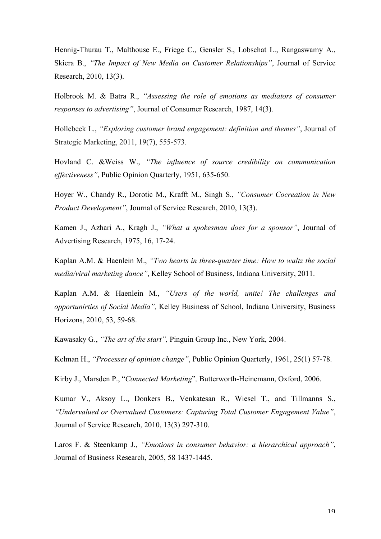Hennig-Thurau T., Malthouse E., Friege C., Gensler S., Lobschat L., Rangaswamy A., Skiera B., *"The Impact of New Media on Customer Relationships"*, Journal of Service Research, 2010, 13(3).

Holbrook M. & Batra R., *"Assessing the role of emotions as mediators of consumer responses to advertising"*, Journal of Consumer Research, 1987, 14(3).

Hollebeek L., *"Exploring customer brand engagement: definition and themes"*, Journal of Strategic Marketing, 2011, 19(7), 555-573.

Hovland C. &Weiss W., *"The influence of source credibility on communication effectiveness"*, Public Opinion Quarterly, 1951, 635-650.

Hoyer W., Chandy R., Dorotic M., Krafft M., Singh S., *"Consumer Cocreation in New Product Development"*, Journal of Service Research, 2010, 13(3).

Kamen J., Azhari A., Kragh J., *"What a spokesman does for a sponsor"*, Journal of Advertising Research, 1975, 16, 17-24.

Kaplan A.M. & Haenlein M., *"Two hearts in three-quarter time: How to waltz the social media/viral marketing dance"*, Kelley School of Business, Indiana University, 2011.

Kaplan A.M. & Haenlein M., *"Users of the world, unite! The challenges and opportunirties of Social Media",* Kelley Business of School, Indiana University, Business Horizons, 2010, 53, 59-68.

Kawasaky G., *"The art of the start",* Pinguin Group Inc., New York, 2004.

Kelman H., *"Processes of opinion change"*, Public Opinion Quarterly, 1961, 25(1) 57-78.

Kirby J., Marsden P., "*Connected Marketing*"*,* Butterworth-Heinemann, Oxford, 2006.

Kumar V., Aksoy L., Donkers B., Venkatesan R., Wiesel T., and Tillmanns S., *"Undervalued or Overvalued Customers: Capturing Total Customer Engagement Value"*, Journal of Service Research, 2010, 13(3) 297-310.

Laros F. & Steenkamp J., *"Emotions in consumer behavior: a hierarchical approach"*, Journal of Business Research, 2005, 58 1437-1445.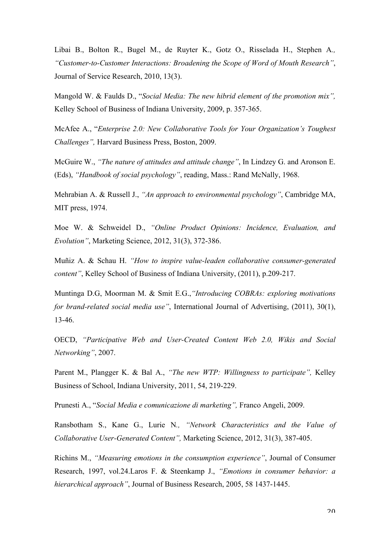Libai B., Bolton R., Bugel M., de Ruyter K., Gotz O., Risselada H., Stephen A*., "Customer-to-Customer Interactions: Broadening the Scope of Word of Mouth Research"*, Journal of Service Research, 2010, 13(3).

Mangold W. & Faulds D., "*Social Media: The new hibrid element of the promotion mix",*  Kelley School of Business of Indiana University, 2009, p. 357-365.

McAfee A., "*Enterprise 2.0: New Collaborative Tools for Your Organization's Toughest Challenges",* Harvard Business Press, Boston, 2009.

McGuire W., *"The nature of attitudes and attitude change"*, In Lindzey G. and Aronson E. (Eds), *"Handbook of social psychology"*, reading, Mass.: Rand McNally, 1968.

Mehrabian A. & Russell J., *"An approach to environmental psychology"*, Cambridge MA, MIT press, 1974.

Moe W. & Schweidel D., *"Online Product Opinions: Incidence, Evaluation, and Evolution"*, Marketing Science, 2012, 31(3), 372-386.

Muñiz A. & Schau H. *"How to inspire value-leaden collaborative consumer-generated content"*, Kelley School of Business of Indiana University, (2011), p.209-217.

Muntinga D.G, Moorman M. & Smit E.G.,*"Introducing COBRAs: exploring motivations for brand-related social media use"*, International Journal of Advertising, (2011), 30(1), 13-46.

OECD, *"Participative Web and User-Created Content Web 2.0, Wikis and Social Networking"*, 2007.

Parent M., Plangger K. & Bal A., *"The new WTP: Willingness to participate",* Kelley Business of School, Indiana University, 2011, 54, 219-229.

Prunesti A., "*Social Media e comunicazione di marketing",* Franco Angeli, 2009.

Ransbotham S., Kane G., Lurie N*., "Network Characteristics and the Value of Collaborative User-Generated Content",* Marketing Science, 2012, 31(3), 387-405.

Richins M., *"Measuring emotions in the consumption experience"*, Journal of Consumer Research, 1997, vol.24.Laros F. & Steenkamp J., *"Emotions in consumer behavior: a hierarchical approach"*, Journal of Business Research, 2005, 58 1437-1445.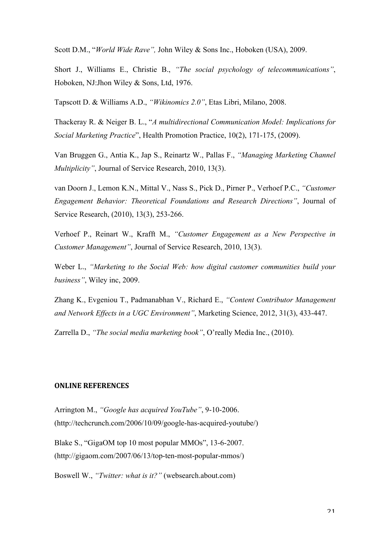Scott D.M., "*World Wide Rave",* John Wiley & Sons Inc., Hoboken (USA), 2009.

Short J., Williams E., Christie B., *"The social psychology of telecommunications"*, Hoboken, NJ:Jhon Wiley & Sons, Ltd, 1976.

Tapscott D. & Williams A.D., *"Wikinomics 2.0"*, Etas Libri, Milano, 2008.

Thackeray R. & Neiger B. L., "*A multidirectional Communication Model: Implications for Social Marketing Practice*", Health Promotion Practice, 10(2), 171-175, (2009).

Van Bruggen G., Antia K., Jap S., Reinartz W., Pallas F., *"Managing Marketing Channel Multiplicity"*, Journal of Service Research, 2010, 13(3).

van Doorn J., Lemon K.N., Mittal V., Nass S., Pick D., Pirner P., Verhoef P.C., *"Customer Engagement Behavior: Theoretical Foundations and Research Directions"*, Journal of Service Research, (2010), 13(3), 253-266.

Verhoef P., Reinart W., Krafft M., *"Customer Engagement as a New Perspective in Customer Management"*, Journal of Service Research, 2010, 13(3).

Weber L., *"Marketing to the Social Web: how digital customer communities build your business"*, Wiley inc, 2009.

Zhang K., Evgeniou T., Padmanabhan V., Richard E., *"Content Contributor Management and Network Effects in a UGC Environment"*, Marketing Science, 2012, 31(3), 433-447.

Zarrella D., *"The social media marketing book"*, O'really Media Inc., (2010).

#### **ONLINE
REFERENCES**

Arrington M., *"Google has acquired YouTube"*, 9-10-2006. (http://techcrunch.com/2006/10/09/google-has-acquired-youtube/)

Blake S., "GigaOM top 10 most popular MMOs", 13-6-2007. (http://gigaom.com/2007/06/13/top-ten-most-popular-mmos/)

Boswell W., *"Twitter: what is it?"* (websearch.about.com)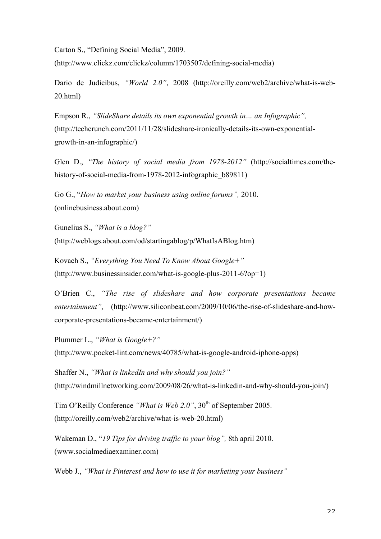Carton S., "Defining Social Media", 2009.

(http://www.clickz.com/clickz/column/1703507/defining-social-media)

Dario de Judicibus, *"World 2.0"*, 2008 (http://oreilly.com/web2/archive/what-is-web-20.html)

Empson R., *"SlideShare details its own exponential growth in… an Infographic",* (http://techcrunch.com/2011/11/28/slideshare-ironically-details-its-own-exponentialgrowth-in-an-infographic/)

Glen D., *"The history of social media from 1978-2012"* (http://socialtimes.com/thehistory-of-social-media-from-1978-2012-infographic\_b89811)

Go G., "*How to market your business using online forums",* 2010. (onlinebusiness.about.com)

Gunelius S., *"What is a blog?"* (http://weblogs.about.com/od/startingablog/p/WhatIsABlog.htm)

Kovach S., *"Everything You Need To Know About Google+"* (http://www.businessinsider.com/what-is-google-plus-2011-6?op=1)

O'Brien C., *"The rise of slideshare and how corporate presentations became entertainment"*, (http://www.siliconbeat.com/2009/10/06/the-rise-of-slideshare-and-howcorporate-presentations-became-entertainment/)

Plummer L., *"What is Google+?"* (http://www.pocket-lint.com/news/40785/what-is-google-android-iphone-apps)

Shaffer N., *"What is linkedIn and why should you join?"* (http://windmillnetworking.com/2009/08/26/what-is-linkedin-and-why-should-you-join/)

Tim O'Reilly Conference *"What is Web 2.0"*, 30<sup>th</sup> of September 2005. (http://oreilly.com/web2/archive/what-is-web-20.html)

Wakeman D., "*19 Tips for driving traffic to your blog",* 8th april 2010. (www.socialmediaexaminer.com)

Webb J., *"What is Pinterest and how to use it for marketing your business"*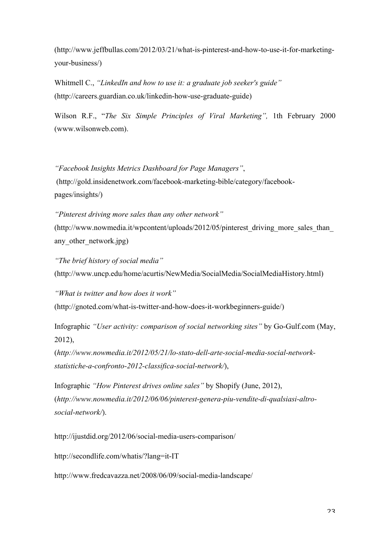(http://www.jeffbullas.com/2012/03/21/what-is-pinterest-and-how-to-use-it-for-marketingyour-business/)

Whitmell C., *"LinkedIn and how to use it: a graduate job seeker's guide"* (http://careers.guardian.co.uk/linkedin-how-use-graduate-guide)

Wilson R.F., "*The Six Simple Principles of Viral Marketing",* 1th February 2000 (www.wilsonweb.com).

*"Facebook Insights Metrics Dashboard for Page Managers"*, (http://gold.insidenetwork.com/facebook-marketing-bible/category/facebookpages/insights/)

*"Pinterest driving more sales than any other network"* (http://www.nowmedia.it/wpcontent/uploads/2012/05/pinterest\_driving\_more\_sales\_than\_ any other network.jpg)

*"The brief history of social media"* (http://www.uncp.edu/home/acurtis/NewMedia/SocialMedia/SocialMediaHistory.html)

*"What is twitter and how does it work"* (http://gnoted.com/what-is-twitter-and-how-does-it-workbeginners-guide/)

Infographic *"User activity: comparison of social networking sites"* by Go-Gulf.com (May, 2012),

(*http://www.nowmedia.it/2012/05/21/lo-stato-dell-arte-social-media-social-networkstatistiche-a-confronto-2012-classifica-social-network/*),

Infographic *"How Pinterest drives online sales"* by Shopify (June, 2012), (*http://www.nowmedia.it/2012/06/06/pinterest-genera-piu-vendite-di-qualsiasi-altrosocial-network/*).

http://ijustdid.org/2012/06/social-media-users-comparison/

http://secondlife.com/whatis/?lang=it-IT

http://www.fredcavazza.net/2008/06/09/social-media-landscape/